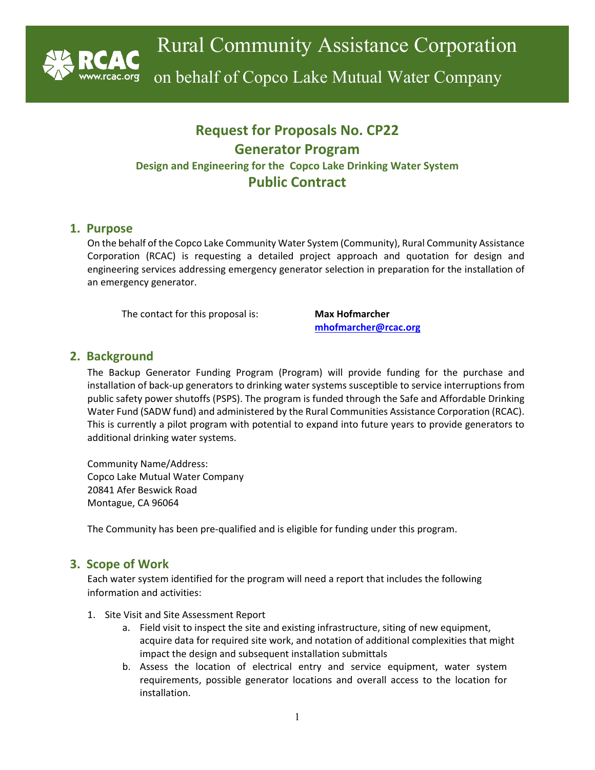

on behalf of Copco Lake Mutual Water Company

# **Request for Proposals No. CP22 Generator Program Design and Engineering for the Copco Lake Drinking Water System Public Contract**

## **1. Purpose**

On the behalf of the Copco Lake Community Water System (Community), Rural Community Assistance Corporation (RCAC) is requesting a detailed project approach and quotation for design and engineering services addressing emergency generator selection in preparation for the installation of an emergency generator.

The contact for this proposal is: **Max Hofmarcher**

**[mhofmarcher@rcac.org](mailto:mhofmarcher@rcac.org)**

# **2. Background**

The Backup Generator Funding Program (Program) will provide funding for the purchase and installation of back-up generators to drinking water systems susceptible to service interruptions from public safety power shutoffs (PSPS). The program is funded through the Safe and Affordable Drinking Water Fund (SADW fund) and administered by the Rural Communities Assistance Corporation (RCAC). This is currently a pilot program with potential to expand into future years to provide generators to additional drinking water systems.

Community Name/Address: Copco Lake Mutual Water Company 20841 Afer Beswick Road Montague, CA 96064

The Community has been pre-qualified and is eligible for funding under this program.

# **3. Scope of Work**

Each water system identified for the program will need a report that includes the following information and activities:

- 1. Site Visit and Site Assessment Report
	- a. Field visit to inspect the site and existing infrastructure, siting of new equipment, acquire data for required site work, and notation of additional complexities that might impact the design and subsequent installation submittals
	- b. Assess the location of electrical entry and service equipment, water system requirements, possible generator locations and overall access to the location for installation.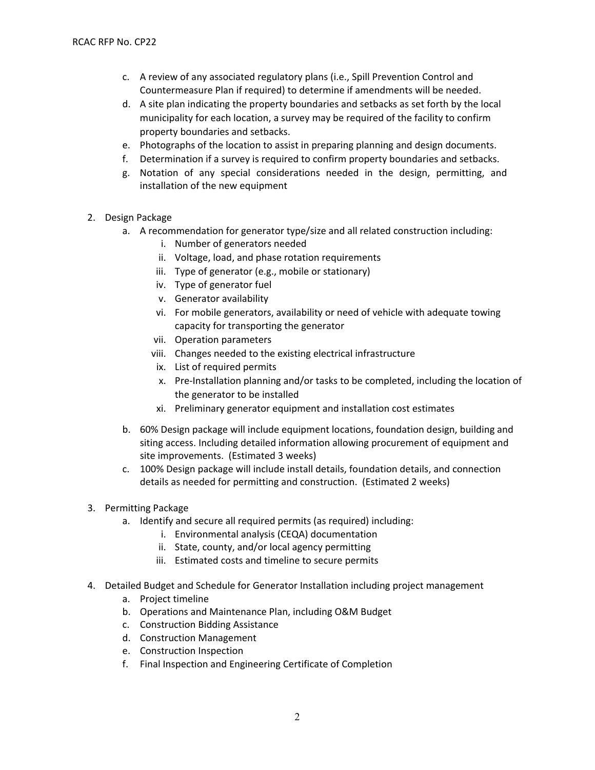- c. A review of any associated regulatory plans (i.e., Spill Prevention Control and Countermeasure Plan if required) to determine if amendments will be needed.
- d. A site plan indicating the property boundaries and setbacks as set forth by the local municipality for each location, a survey may be required of the facility to confirm property boundaries and setbacks.
- e. Photographs of the location to assist in preparing planning and design documents.
- f. Determination if a survey is required to confirm property boundaries and setbacks.
- g. Notation of any special considerations needed in the design, permitting, and installation of the new equipment
- 2. Design Package
	- a. A recommendation for generator type/size and all related construction including:
		- i. Number of generators needed
		- ii. Voltage, load, and phase rotation requirements
		- iii. Type of generator (e.g., mobile or stationary)
		- iv. Type of generator fuel
		- v. Generator availability
		- vi. For mobile generators, availability or need of vehicle with adequate towing capacity for transporting the generator
		- vii. Operation parameters
		- viii. Changes needed to the existing electrical infrastructure
		- ix. List of required permits
		- x. Pre-Installation planning and/or tasks to be completed, including the location of the generator to be installed
		- xi. Preliminary generator equipment and installation cost estimates
	- b. 60% Design package will include equipment locations, foundation design, building and siting access. Including detailed information allowing procurement of equipment and site improvements. (Estimated 3 weeks)
	- c. 100% Design package will include install details, foundation details, and connection details as needed for permitting and construction. (Estimated 2 weeks)
- 3. Permitting Package
	- a. Identify and secure all required permits (as required) including:
		- i. Environmental analysis (CEQA) documentation
		- ii. State, county, and/or local agency permitting
		- iii. Estimated costs and timeline to secure permits
- 4. Detailed Budget and Schedule for Generator Installation including project management
	- a. Project timeline
	- b. Operations and Maintenance Plan, including O&M Budget
	- c. Construction Bidding Assistance
	- d. Construction Management
	- e. Construction Inspection
	- f. Final Inspection and Engineering Certificate of Completion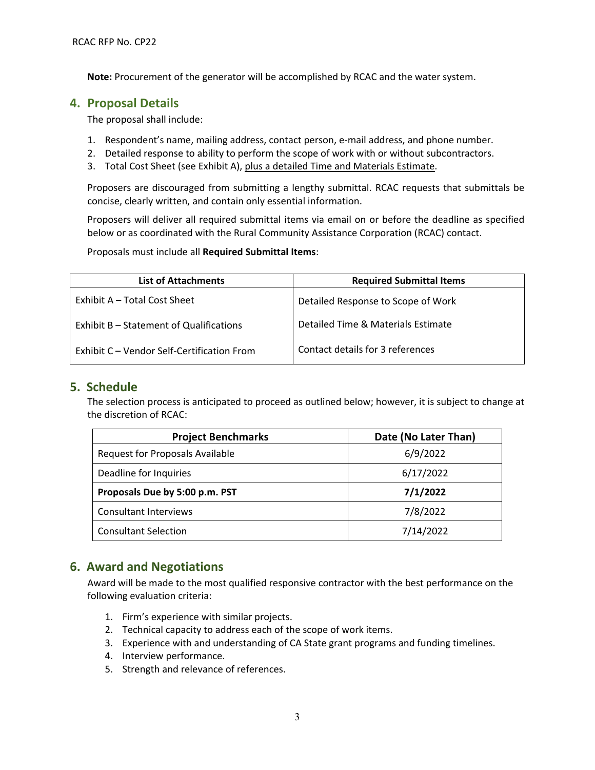**Note:** Procurement of the generator will be accomplished by RCAC and the water system.

## **4. Proposal Details**

The proposal shall include:

- 1. Respondent's name, mailing address, contact person, e-mail address, and phone number.
- 2. Detailed response to ability to perform the scope of work with or without subcontractors.
- 3. Total Cost Sheet (see Exhibit A), plus a detailed Time and Materials Estimate.

Proposers are discouraged from submitting a lengthy submittal. RCAC requests that submittals be concise, clearly written, and contain only essential information.

Proposers will deliver all required submittal items via email on or before the deadline as specified below or as coordinated with the Rural Community Assistance Corporation (RCAC) contact.

Proposals must include all **Required Submittal Items**:

| <b>List of Attachments</b>                 | <b>Required Submittal Items</b>    |  |
|--------------------------------------------|------------------------------------|--|
| Exhibit A – Total Cost Sheet               | Detailed Response to Scope of Work |  |
| Exhibit B - Statement of Qualifications    | Detailed Time & Materials Estimate |  |
| Exhibit C - Vendor Self-Certification From | Contact details for 3 references   |  |

### **5. Schedule**

The selection process is anticipated to proceed as outlined below; however, it is subject to change at the discretion of RCAC:

| <b>Project Benchmarks</b>              | Date (No Later Than) |
|----------------------------------------|----------------------|
| <b>Request for Proposals Available</b> | 6/9/2022             |
| Deadline for Inquiries                 | 6/17/2022            |
| Proposals Due by 5:00 p.m. PST         | 7/1/2022             |
| <b>Consultant Interviews</b>           | 7/8/2022             |
| <b>Consultant Selection</b>            | 7/14/2022            |

# **6. Award and Negotiations**

Award will be made to the most qualified responsive contractor with the best performance on the following evaluation criteria:

- 1. Firm's experience with similar projects.
- 2. Technical capacity to address each of the scope of work items.
- 3. Experience with and understanding of CA State grant programs and funding timelines.
- 4. Interview performance.
- 5. Strength and relevance of references.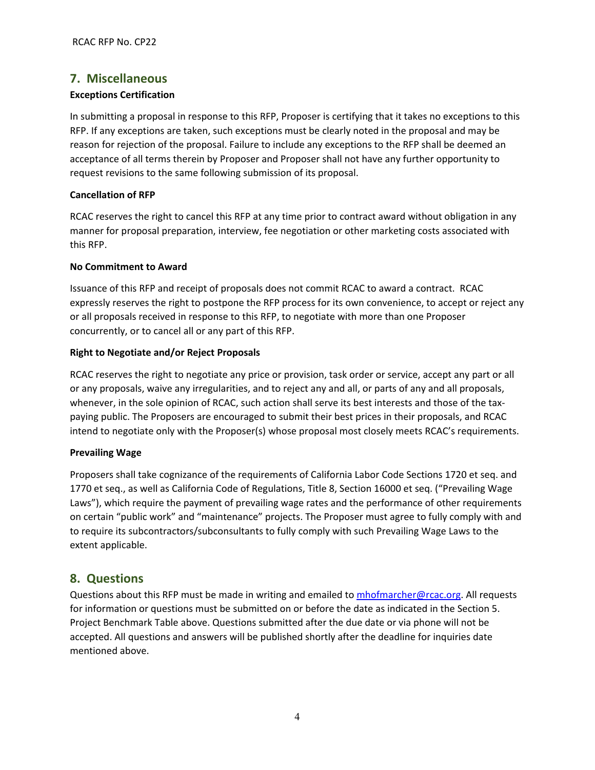## **7. Miscellaneous**

#### **Exceptions Certification**

In submitting a proposal in response to this RFP, Proposer is certifying that it takes no exceptions to this RFP. If any exceptions are taken, such exceptions must be clearly noted in the proposal and may be reason for rejection of the proposal. Failure to include any exceptions to the RFP shall be deemed an acceptance of all terms therein by Proposer and Proposer shall not have any further opportunity to request revisions to the same following submission of its proposal.

#### **Cancellation of RFP**

RCAC reserves the right to cancel this RFP at any time prior to contract award without obligation in any manner for proposal preparation, interview, fee negotiation or other marketing costs associated with this RFP.

#### **No Commitment to Award**

Issuance of this RFP and receipt of proposals does not commit RCAC to award a contract. RCAC expressly reserves the right to postpone the RFP process for its own convenience, to accept or reject any or all proposals received in response to this RFP, to negotiate with more than one Proposer concurrently, or to cancel all or any part of this RFP.

#### **Right to Negotiate and/or Reject Proposals**

RCAC reserves the right to negotiate any price or provision, task order or service, accept any part or all or any proposals, waive any irregularities, and to reject any and all, or parts of any and all proposals, whenever, in the sole opinion of RCAC, such action shall serve its best interests and those of the taxpaying public. The Proposers are encouraged to submit their best prices in their proposals, and RCAC intend to negotiate only with the Proposer(s) whose proposal most closely meets RCAC's requirements.

#### **Prevailing Wage**

Proposers shall take cognizance of the requirements of California Labor Code Sections 1720 et seq. and 1770 et seq., as well as California Code of Regulations, Title 8, Section 16000 et seq. ("Prevailing Wage Laws"), which require the payment of prevailing wage rates and the performance of other requirements on certain "public work" and "maintenance" projects. The Proposer must agree to fully comply with and to require its subcontractors/subconsultants to fully comply with such Prevailing Wage Laws to the extent applicable.

### **8. Questions**

Questions about this RFP must be made in writing and emailed to [mhofmarcher@rcac.org.](mailto:mhofmarcher@rcac.org) All requests for information or questions must be submitted on or before the date as indicated in the Section 5. Project Benchmark Table above. Questions submitted after the due date or via phone will not be accepted. All questions and answers will be published shortly after the deadline for inquiries date mentioned above.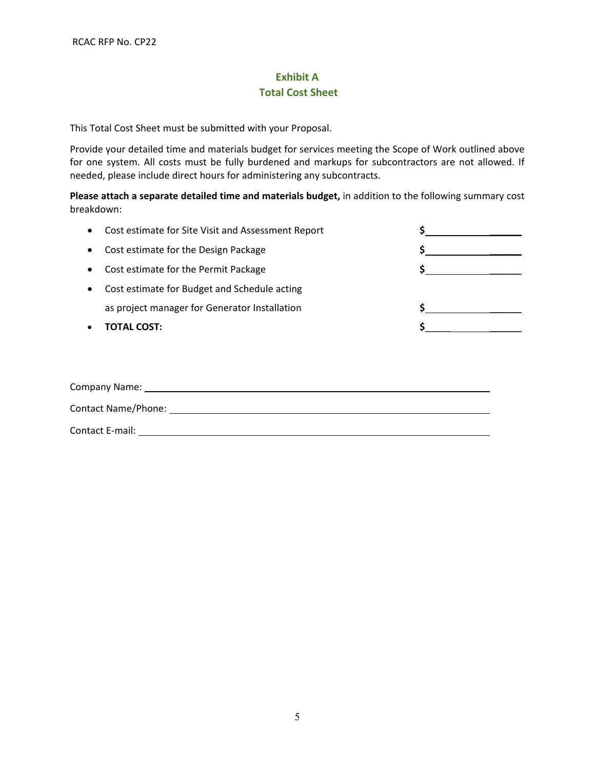# **Exhibit A Total Cost Sheet**

This Total Cost Sheet must be submitted with your Proposal.

Provide your detailed time and materials budget for services meeting the Scope of Work outlined above for one system. All costs must be fully burdened and markups for subcontractors are not allowed. If needed, please include direct hours for administering any subcontracts.

**Please attach a separate detailed time and materials budget,** in addition to the following summary cost breakdown:

|           | • Cost estimate for Site Visit and Assessment Report |  |
|-----------|------------------------------------------------------|--|
| $\bullet$ | Cost estimate for the Design Package                 |  |
| $\bullet$ | Cost estimate for the Permit Package                 |  |
| $\bullet$ | Cost estimate for Budget and Schedule acting         |  |
|           | as project manager for Generator Installation        |  |
|           | TOTAL COST:                                          |  |
|           |                                                      |  |

| <b>Company Name:</b>       |  |
|----------------------------|--|
| <b>Contact Name/Phone:</b> |  |
| Contact E-mail:            |  |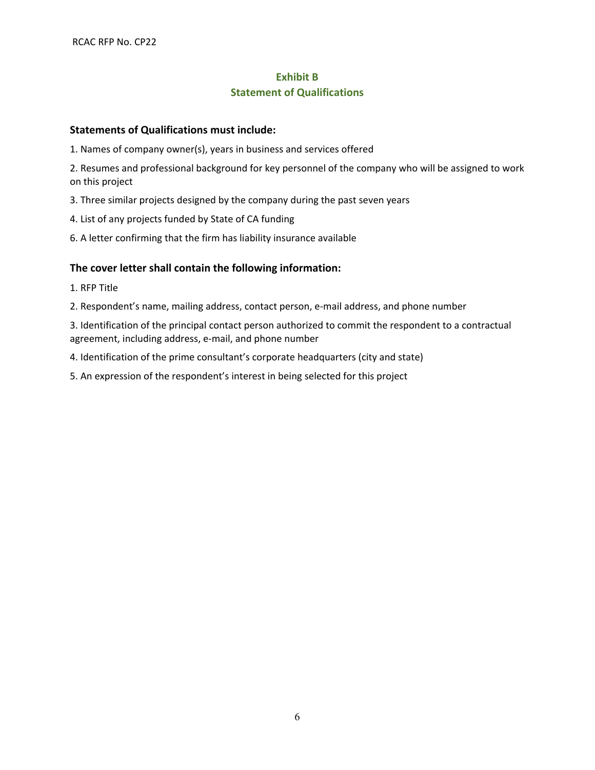# **Exhibit B Statement of Qualifications**

### **Statements of Qualifications must include:**

1. Names of company owner(s), years in business and services offered

2. Resumes and professional background for key personnel of the company who will be assigned to work on this project

3. Three similar projects designed by the company during the past seven years

4. List of any projects funded by State of CA funding

6. A letter confirming that the firm has liability insurance available

### **The cover letter shall contain the following information:**

1. RFP Title

2. Respondent's name, mailing address, contact person, e-mail address, and phone number

3. Identification of the principal contact person authorized to commit the respondent to a contractual agreement, including address, e-mail, and phone number

4. Identification of the prime consultant's corporate headquarters (city and state)

5. An expression of the respondent's interest in being selected for this project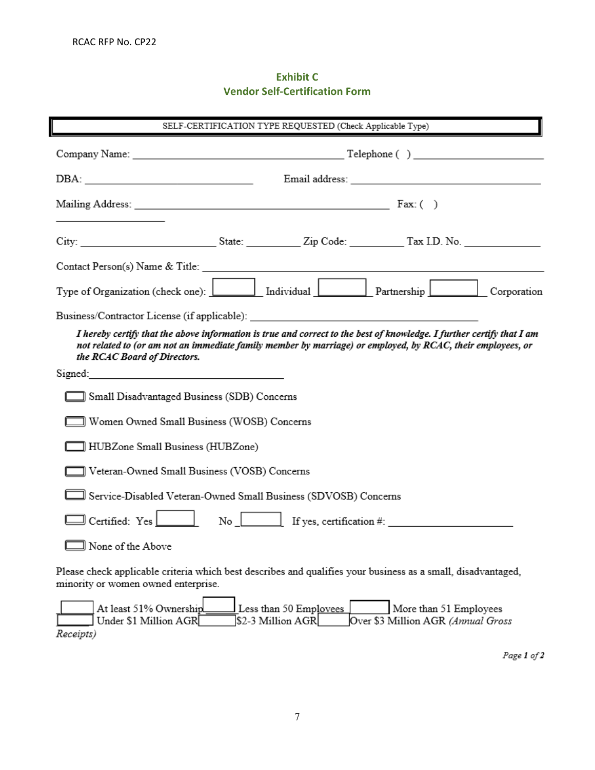# **Exhibit C Vendor Self-Certification Form**

| SELF-CERTIFICATION TYPE REQUESTED (Check Applicable Type)                                                                                                                                                                                                                                                                                                                                                                         |                                               |                                             |                                                                                                                                                                                                                                |  |  |
|-----------------------------------------------------------------------------------------------------------------------------------------------------------------------------------------------------------------------------------------------------------------------------------------------------------------------------------------------------------------------------------------------------------------------------------|-----------------------------------------------|---------------------------------------------|--------------------------------------------------------------------------------------------------------------------------------------------------------------------------------------------------------------------------------|--|--|
|                                                                                                                                                                                                                                                                                                                                                                                                                                   |                                               |                                             |                                                                                                                                                                                                                                |  |  |
| $DBA: \begin{tabular}{ c c c c } \hline \multicolumn{3}{ c }{\textbf{DBA}}: & \multicolumn{3}{ c }{\textbf{CDB}}: & \multicolumn{3}{ c }{\textbf{DBA}}: & \multicolumn{3}{ c }{\textbf{CDB}}: & \multicolumn{3}{ c }{\textbf{CDB}}: & \multicolumn{3}{ c }{\textbf{CDB}}: & \multicolumn{3}{ c }{\textbf{CDB}}: & \multicolumn{3}{ c }{\textbf{CDB}}: & \multicolumn{3}{ c }{\textbf{CDB}}: & \multicolumn{3}{ c }{\textbf{CDB}}$ |                                               |                                             |                                                                                                                                                                                                                                |  |  |
| Mailing Address: Fax: ( )                                                                                                                                                                                                                                                                                                                                                                                                         |                                               |                                             |                                                                                                                                                                                                                                |  |  |
|                                                                                                                                                                                                                                                                                                                                                                                                                                   |                                               |                                             |                                                                                                                                                                                                                                |  |  |
|                                                                                                                                                                                                                                                                                                                                                                                                                                   |                                               |                                             |                                                                                                                                                                                                                                |  |  |
|                                                                                                                                                                                                                                                                                                                                                                                                                                   |                                               |                                             |                                                                                                                                                                                                                                |  |  |
|                                                                                                                                                                                                                                                                                                                                                                                                                                   |                                               |                                             | Business/Contractor License (if applicable): Note that the set of the set of the set of the set of the set of the set of the set of the set of the set of the set of the set of the set of the set of the set of the set of th |  |  |
| I hereby certify that the above information is true and correct to the best of knowledge. I further certify that I am<br>not related to (or am not an immediate family member by marriage) or employed, by RCAC, their employees, or<br>the RCAC Board of Directors.                                                                                                                                                              |                                               |                                             |                                                                                                                                                                                                                                |  |  |
|                                                                                                                                                                                                                                                                                                                                                                                                                                   |                                               |                                             |                                                                                                                                                                                                                                |  |  |
|                                                                                                                                                                                                                                                                                                                                                                                                                                   | ] Small Disadvantaged Business (SDB) Concerns |                                             |                                                                                                                                                                                                                                |  |  |
|                                                                                                                                                                                                                                                                                                                                                                                                                                   | Women Owned Small Business (WOSB) Concerns    |                                             |                                                                                                                                                                                                                                |  |  |
|                                                                                                                                                                                                                                                                                                                                                                                                                                   | HUBZone Small Business (HUBZone)              |                                             |                                                                                                                                                                                                                                |  |  |
| ]] Veteran-Owned Small Business (VOSB) Concerns                                                                                                                                                                                                                                                                                                                                                                                   |                                               |                                             |                                                                                                                                                                                                                                |  |  |
| Service-Disabled Veteran-Owned Small Business (SDVOSB) Concerns                                                                                                                                                                                                                                                                                                                                                                   |                                               |                                             |                                                                                                                                                                                                                                |  |  |
| $\exists$ Certified: Yes $\Box$                                                                                                                                                                                                                                                                                                                                                                                                   |                                               |                                             |                                                                                                                                                                                                                                |  |  |
| ∃ None of the Above                                                                                                                                                                                                                                                                                                                                                                                                               |                                               |                                             |                                                                                                                                                                                                                                |  |  |
| minority or women owned enterprise.                                                                                                                                                                                                                                                                                                                                                                                               |                                               |                                             | Please check applicable criteria which best describes and qualifies your business as a small, disadvantaged,                                                                                                                   |  |  |
| At least 51% Ownership<br>Under \$1 Million AGR<br>Receipts)                                                                                                                                                                                                                                                                                                                                                                      |                                               | Less than 50 Employees<br>\$2-3 Million AGR | More than 51 Employees<br>Over \$3 Million AGR (Annual Gross                                                                                                                                                                   |  |  |

Page  $1$  of  $2$